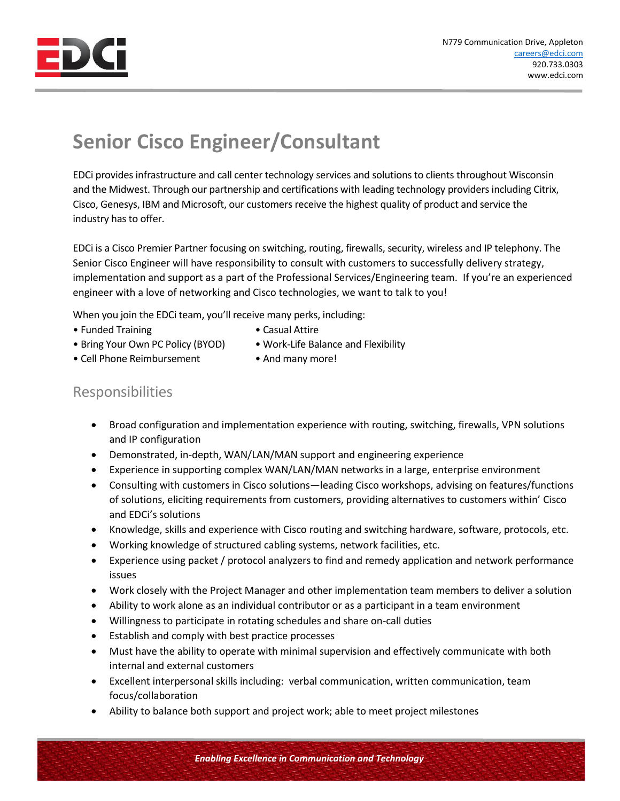

## **Senior Cisco Engineer/Consultant**

EDCi provides infrastructure and call center technology services and solutions to clients throughout Wisconsin and the Midwest. Through our partnership and certifications with leading technology providers including Citrix, Cisco, Genesys, IBM and Microsoft, our customers receive the highest quality of product and service the industry has to offer.

EDCi is a Cisco Premier Partner focusing on switching, routing, firewalls, security, wireless and IP telephony. The Senior Cisco Engineer will have responsibility to consult with customers to successfully delivery strategy, implementation and support as a part of the Professional Services/Engineering team. If you're an experienced engineer with a love of networking and Cisco technologies, we want to talk to you!

When you join the EDCi team, you'll receive many perks, including:

- Funded Training  **Casual Attire**
- 
- Bring Your Own PC Policy (BYOD) Work-Life Balance and Flexibility
- Cell Phone Reimbursement And many more!

## Responsibilities

- Broad configuration and implementation experience with routing, switching, firewalls, VPN solutions and IP configuration
- Demonstrated, in-depth, WAN/LAN/MAN support and engineering experience
- Experience in supporting complex WAN/LAN/MAN networks in a large, enterprise environment
- Consulting with customers in Cisco solutions—leading Cisco workshops, advising on features/functions of solutions, eliciting requirements from customers, providing alternatives to customers within' Cisco and EDCi's solutions
- Knowledge, skills and experience with Cisco routing and switching hardware, software, protocols, etc.
- Working knowledge of structured cabling systems, network facilities, etc.
- Experience using packet / protocol analyzers to find and remedy application and network performance issues
- Work closely with the Project Manager and other implementation team members to deliver a solution
- Ability to work alone as an individual contributor or as a participant in a team environment
- Willingness to participate in rotating schedules and share on-call duties
- Establish and comply with best practice processes
- Must have the ability to operate with minimal supervision and effectively communicate with both internal and external customers
- Excellent interpersonal skills including: verbal communication, written communication, team focus/collaboration
- Ability to balance both support and project work; able to meet project milestones